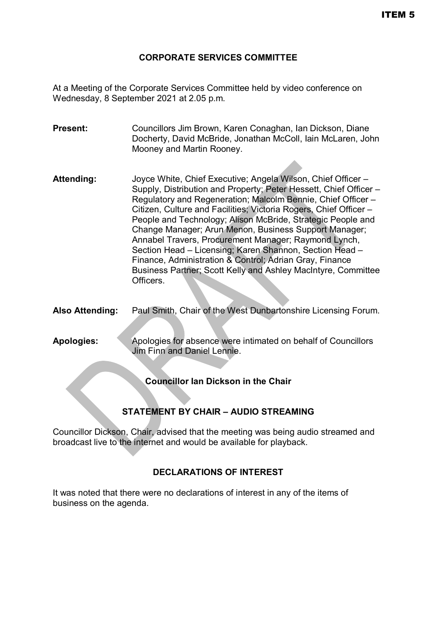### **CORPORATE SERVICES COMMITTEE**

At a Meeting of the Corporate Services Committee held by video conference on Wednesday, 8 September 2021 at 2.05 p.m.

- **Present:** Councillors Jim Brown, Karen Conaghan, Ian Dickson, Diane Docherty, David McBride, Jonathan McColl, Iain McLaren, John Mooney and Martin Rooney.
- **Attending:** Joyce White, Chief Executive; Angela Wilson, Chief Officer Supply, Distribution and Property; Peter Hessett, Chief Officer – Regulatory and Regeneration; Malcolm Bennie, Chief Officer – Citizen, Culture and Facilities; Victoria Rogers, Chief Officer – People and Technology; Alison McBride, Strategic People and Change Manager; Arun Menon, Business Support Manager; Annabel Travers, Procurement Manager; Raymond Lynch, Section Head – Licensing; Karen Shannon, Section Head – Finance, Administration & Control; Adrian Gray, Finance Business Partner; Scott Kelly and Ashley MacIntyre, Committee Officers.
- **Also Attending:** Paul Smith, Chair of the West Dunbartonshire Licensing Forum.
- **Apologies:** Apologies for absence were intimated on behalf of Councillors Jim Finn and Daniel Lennie.

**Councillor Ian Dickson in the Chair**

# **STATEMENT BY CHAIR – AUDIO STREAMING**

Councillor Dickson, Chair, advised that the meeting was being audio streamed and broadcast live to the internet and would be available for playback.

### **DECLARATIONS OF INTEREST**

It was noted that there were no declarations of interest in any of the items of business on the agenda.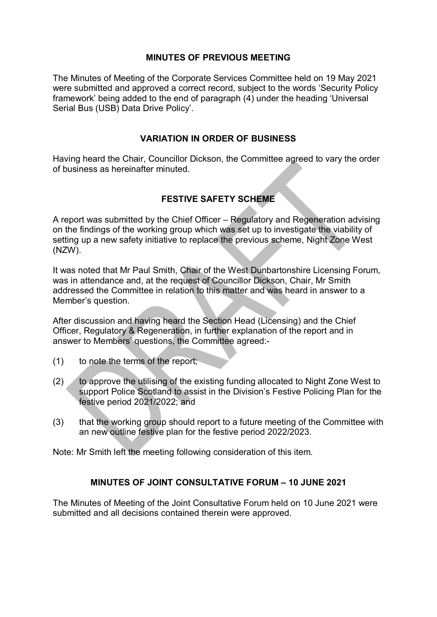#### **MINUTES OF PREVIOUS MEETING**

The Minutes of Meeting of the Corporate Services Committee held on 19 May 2021 were submitted and approved a correct record, subject to the words 'Security Policy framework' being added to the end of paragraph (4) under the heading 'Universal Serial Bus (USB) Data Drive Policy'.

#### **VARIATION IN ORDER OF BUSINESS**

Having heard the Chair, Councillor Dickson, the Committee agreed to vary the order of business as hereinafter minuted.

### **FESTIVE SAFETY SCHEME**

A report was submitted by the Chief Officer – Regulatory and Regeneration advising on the findings of the working group which was set up to investigate the viability of setting up a new safety initiative to replace the previous scheme, Night Zone West (NZW).

It was noted that Mr Paul Smith, Chair of the West Dunbartonshire Licensing Forum, was in attendance and, at the request of Councillor Dickson, Chair, Mr Smith addressed the Committee in relation to this matter and was heard in answer to a Member's question.

After discussion and having heard the Section Head (Licensing) and the Chief Officer, Regulatory & Regeneration, in further explanation of the report and in answer to Members' questions, the Committee agreed:-

- (1) to note the terms of the report;
- (2) to approve the utilising of the existing funding allocated to Night Zone West to support Police Scotland to assist in the Division's Festive Policing Plan for the festive period 2021/2022; and
- (3) that the working group should report to a future meeting of the Committee with an new outline festive plan for the festive period 2022/2023.

Note: Mr Smith left the meeting following consideration of this item.

#### **MINUTES OF JOINT CONSULTATIVE FORUM – 10 JUNE 2021**

The Minutes of Meeting of the Joint Consultative Forum held on 10 June 2021 were submitted and all decisions contained therein were approved.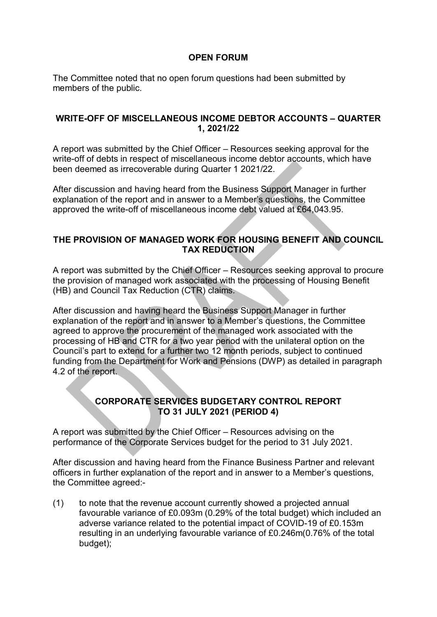### **OPEN FORUM**

The Committee noted that no open forum questions had been submitted by members of the public.

#### **WRITE-OFF OF MISCELLANEOUS INCOME DEBTOR ACCOUNTS – QUARTER 1, 2021/22**

A report was submitted by the Chief Officer – Resources seeking approval for the write-off of debts in respect of miscellaneous income debtor accounts, which have been deemed as irrecoverable during Quarter 1 2021/22.

After discussion and having heard from the Business Support Manager in further explanation of the report and in answer to a Member's questions, the Committee approved the write-off of miscellaneous income debt valued at £64,043.95.

### **THE PROVISION OF MANAGED WORK FOR HOUSING BENEFIT AND COUNCIL TAX REDUCTION**

A report was submitted by the Chief Officer – Resources seeking approval to procure the provision of managed work associated with the processing of Housing Benefit (HB) and Council Tax Reduction (CTR) claims.

After discussion and having heard the Business Support Manager in further explanation of the report and in answer to a Member's questions, the Committee agreed to approve the procurement of the managed work associated with the processing of HB and CTR for a two year period with the unilateral option on the Council's part to extend for a further two 12 month periods, subject to continued funding from the Department for Work and Pensions (DWP) as detailed in paragraph 4.2 of the report.

## **CORPORATE SERVICES BUDGETARY CONTROL REPORT TO 31 JULY 2021 (PERIOD 4)**

A report was submitted by the Chief Officer – Resources advising on the performance of the Corporate Services budget for the period to 31 July 2021.

After discussion and having heard from the Finance Business Partner and relevant officers in further explanation of the report and in answer to a Member's questions, the Committee agreed:-

(1) to note that the revenue account currently showed a projected annual favourable variance of £0.093m (0.29% of the total budget) which included an adverse variance related to the potential impact of COVID-19 of £0.153m resulting in an underlying favourable variance of £0.246m(0.76% of the total budget);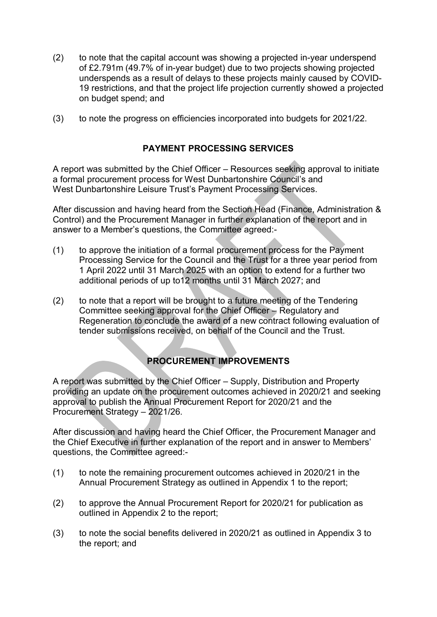- (2) to note that the capital account was showing a projected in-year underspend of £2.791m (49.7% of in-year budget) due to two projects showing projected underspends as a result of delays to these projects mainly caused by COVID-19 restrictions, and that the project life projection currently showed a projected on budget spend; and
- (3) to note the progress on efficiencies incorporated into budgets for 2021/22.

## **PAYMENT PROCESSING SERVICES**

A report was submitted by the Chief Officer – Resources seeking approval to initiate a formal procurement process for West Dunbartonshire Council's and West Dunbartonshire Leisure Trust's Payment Processing Services.

After discussion and having heard from the Section Head (Finance, Administration & Control) and the Procurement Manager in further explanation of the report and in answer to a Member's questions, the Committee agreed:-

- (1) to approve the initiation of a formal procurement process for the Payment Processing Service for the Council and the Trust for a three year period from 1 April 2022 until 31 March 2025 with an option to extend for a further two additional periods of up to12 months until 31 March 2027; and
- (2) to note that a report will be brought to a future meeting of the Tendering Committee seeking approval for the Chief Officer – Regulatory and Regeneration to conclude the award of a new contract following evaluation of tender submissions received, on behalf of the Council and the Trust.

# **PROCUREMENT IMPROVEMENTS**

A report was submitted by the Chief Officer – Supply, Distribution and Property providing an update on the procurement outcomes achieved in 2020/21 and seeking approval to publish the Annual Procurement Report for 2020/21 and the Procurement Strategy – 2021/26.

After discussion and having heard the Chief Officer, the Procurement Manager and the Chief Executive in further explanation of the report and in answer to Members' questions, the Committee agreed:-

- (1) to note the remaining procurement outcomes achieved in 2020/21 in the Annual Procurement Strategy as outlined in Appendix 1 to the report;
- (2) to approve the Annual Procurement Report for 2020/21 for publication as outlined in Appendix 2 to the report;
- (3) to note the social benefits delivered in 2020/21 as outlined in Appendix 3 to the report; and